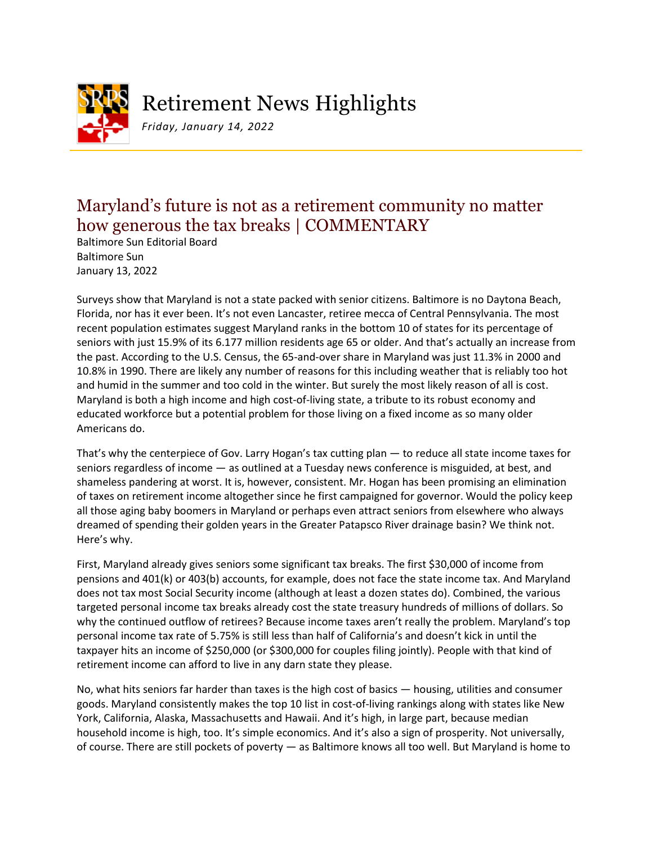

Retirement News Highlights

*Friday, January 14, 2022*

## Maryland's future is not as a retirement community no matter how generous the tax breaks | COMMENTARY

Baltimore Sun Editorial Board Baltimore Sun January 13, 2022

Surveys show that Maryland is not a state packed with senior citizens. Baltimore is no Daytona Beach, Florida, nor has it ever been. It's not even Lancaster, retiree mecca of Central Pennsylvania. The most recent population estimates suggest Maryland ranks in the bottom 10 of states for its percentage of seniors with just 15.9% of its 6.177 million residents age 65 or older. And that's actually an increase from the past. According to the U.S. Census, the 65-and-over share in Maryland was just 11.3% in 2000 and 10.8% in 1990. There are likely any number of reasons for this including weather that is reliably too hot and humid in the summer and too cold in the winter. But surely the most likely reason of all is cost. Maryland is both a high income and high cost-of-living state, a tribute to its robust economy and educated workforce but a potential problem for those living on a fixed income as so many older Americans do.

That's why the centerpiece of Gov. Larry Hogan's tax cutting plan — to reduce all state income taxes for seniors regardless of income — as outlined at a Tuesday news conference is misguided, at best, and shameless pandering at worst. It is, however, consistent. Mr. Hogan has been promising an elimination of taxes on retirement income altogether since he first campaigned for governor. Would the policy keep all those aging baby boomers in Maryland or perhaps even attract seniors from elsewhere who always dreamed of spending their golden years in the Greater Patapsco River drainage basin? We think not. Here's why.

First, Maryland already gives seniors some significant tax breaks. The first \$30,000 of income from pensions and 401(k) or 403(b) accounts, for example, does not face the state income tax. And Maryland does not tax most Social Security income (although at least a dozen states do). Combined, the various targeted personal income tax breaks already cost the state treasury hundreds of millions of dollars. So why the continued outflow of retirees? Because income taxes aren't really the problem. Maryland's top personal income tax rate of 5.75% is still less than half of California's and doesn't kick in until the taxpayer hits an income of \$250,000 (or \$300,000 for couples filing jointly). People with that kind of retirement income can afford to live in any darn state they please.

No, what hits seniors far harder than taxes is the high cost of basics — housing, utilities and consumer goods. Maryland consistently makes the top 10 list in cost-of-living rankings along with states like New York, California, Alaska, Massachusetts and Hawaii. And it's high, in large part, because median household income is high, too. It's simple economics. And it's also a sign of prosperity. Not universally, of course. There are still pockets of poverty — as Baltimore knows all too well. But Maryland is home to